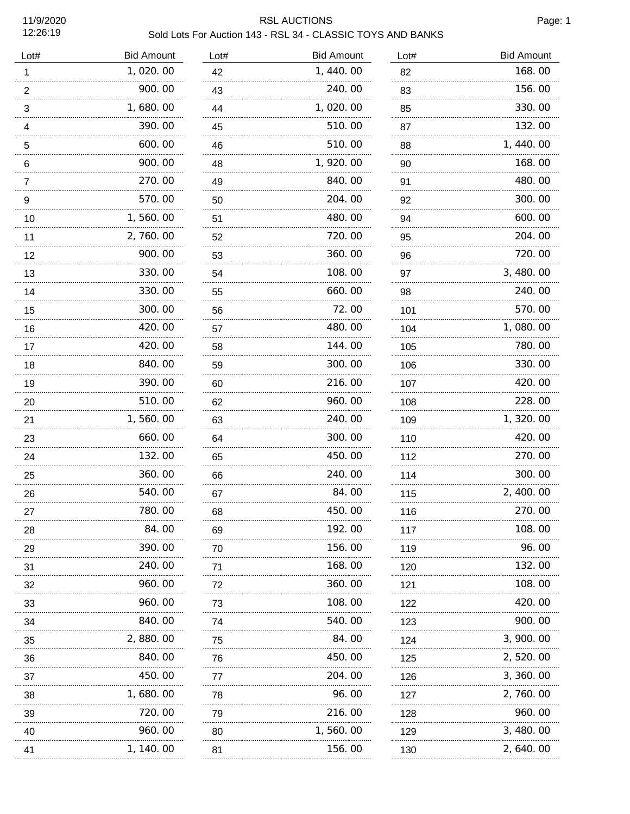11/9/2020 12:26:19

## RSL AUCTIONS Page: 1 Sold Lots For Auction 143 - RSL 34 - CLASSIC TOYS AND BANKS

| Lot#                     | <b>Bid Amount</b> | Lot# | <b>Bid Amount</b> | Lot# | <b>Bid Amount</b> |
|--------------------------|-------------------|------|-------------------|------|-------------------|
| 1                        | 1,020.00          | 42   | 1,440.00          | 82   | 168.00            |
| $\overline{c}$<br>.      | 900.00            | 43   | 240.00            | 83   | 156.00            |
| 3                        | 1,680.00          | 44   | 1,020.00          | 85   | 330.00            |
| $\overline{\mathcal{L}}$ | 390.00            | 45   | 510.00            | 87   | 132.00            |
| 5                        | .<br>600.00       | 46   | .<br>510.00       | 88   | 1,440.00          |
| $\,6$                    | 900.00            | 48   | 1,920.00          | 90   | 168.00            |
| 7                        | 270.00            | 49   | 840.00            | 91   | 480.00            |
| $\boldsymbol{9}$         | 570.00            | 50   | 204.00            | 92   | 300.00            |
| $10$                     | 1,560.00          | 51   | 480.00            | 94   | 600.00            |
| 11                       | 2,760.00          | 52   | 720.00            | 95   | 204.00            |
| 12                       | 900.00            | 53   | 360.00            | 96   | 720.00            |
| 13                       | 330.00            | 54   | 108.00            | 97   | 3, 480.00         |
| 14                       | 330.00            | 55   | 660.00            | 98   | 240.00            |
| 15                       | 300.00            | 56   | 72.00             | 101  | 570.00            |
| 16                       | 420.00            | 57   | 480.00            | 104  | 1,080.00          |
| 17                       | 420.00            | 58   | 144.00            | 105  | 780.00            |
| 18                       | 840.00            | 59   | 300.00            | 106  | 330.00            |
| 19<br>.                  | 390.00            | 60   | 216.00            | 107  | 420.00            |
| 20                       | 510.00            | 62   | 960.00            | 108  | 228.00            |
| 21                       | 1,560.00          | 63   | 240.00            | 109  | 1,320.00          |
| 23                       | 660.00            | 64   | 300.00            | 110  | 420.00            |
| 24                       | 132.00            | 65   | 450.00            | 112  | 270.00            |
| 25                       | 360.00            | 66   | 240.00            | 114  | 300.00            |
| 26                       | 540.00            | 67   | 84.00             | 115  | 2, 400.00         |
| 27                       | 780. 00           | 68   | 450.00            | 116  | 270.00            |
| 28                       | 84.00             | 69   | 192.00            | 117  | 108. 00           |
| 29                       | 390.00            | 70   | 156.00            | 119  | 96.00             |
| 31                       | 240.00            | 71   | 168.00            | 120  | 132.00            |
| 32                       | 960. 00           | 72   | 360.00            | 121  | 108.00            |
| 33                       | 960.00            | 73   | 108.00            | 122  | 420.00            |
| 34                       | 840.00            | 74   | 540.00            | 123  | 900.00            |
| 35                       | 2,880.00          | 75   | 84.00             | 124  | 3, 900. 00        |
| 36                       | 840.00            | 76   | 450.00            | 125  | 2, 520. 00        |
| 37                       | 450.00            | 77   | 204.00            | 126  | 3, 360. 00        |
| 38                       | 1, 680. 00        | 78   | 96.00             | 127  | 2, 760. 00        |
| 39                       | 720.00            | 79   | 216.00            | 128  | 960.00            |
| 40                       | 960.00            | 80   | 1, 560. 00        | 129  | 3, 480.00         |
| 41                       | 1, 140. 00        | 81   | 156.00            | 130  | 2, 640. 00        |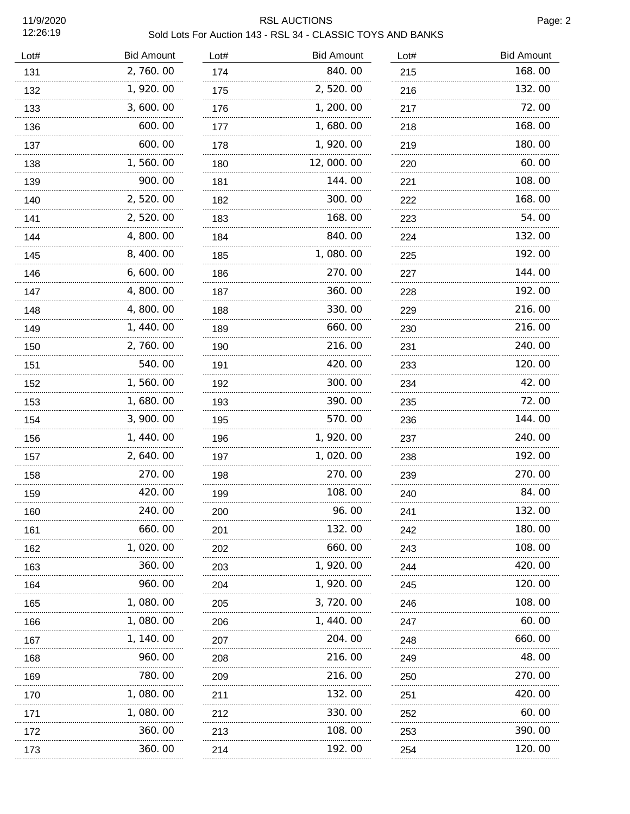11/9/2020 12:26:19

## RSL AUCTIONS Page: 2 Sold Lots For Auction 143 - RSL 34 - CLASSIC TOYS AND BANKS

| Lot# | <b>Bid Amount</b> | Lot# | <b>Bid Amount</b> | Lot# | <b>Bid Amount</b> |
|------|-------------------|------|-------------------|------|-------------------|
| 131  | 2,760.00          | 174  | 840.00            | 215  | 168.00            |
| 132  | 1,920.00          | 175  | 2,520.00          | 216  | 132.00            |
| 133  | 3,600.00          | 176  | 1, 200.00         | 217  | 72.00             |
| 136  | 600.00            | 177  | 1,680.00          | 218  | 168.00            |
| 137  | 600.00            | 178  | 1,920.00          | 219  | 180.00            |
| 138  | 1,560.00          | 180  | 12,000.00         | 220  | 60.00             |
| 139  | 900.00            | 181  | 144.00            | 221  | 108.00            |
| 140  | 2,520.00          | 182  | 300.00            | 222  | 168.00            |
| 141  | 2,520.00          | 183  | 168.00            | 223  | 54.00             |
| 144  | 4,800.00          | 184  | 840.00            | 224  | 132.00            |
| 145  | 8,400.00          | 185  | 1,080.00          | 225  | 192.00            |
| 146  | 6,600.00          | 186  | 270.00            | 227  | 144.00            |
| 147  | 4,800.00          | 187  | 360.00            | 228  | 192.00            |
| 148  | 4,800.00          | 188  | 330.00            | 229  | 216.00            |
| 149  | 1, 440.00         | 189  | 660.00            | 230  | 216.00            |
| 150  | 2, 760.00         | 190  | 216.00            | 231  | 240.00            |
| 151  | 540.00            | 191  | 420.00            | 233  | 120.00            |
| 152  | 1,560.00          | 192  | 300.00            | 234  | 42.00             |
| 153  | 1,680.00          | 193  | 390.00            | 235  | 72.00             |
| 154  | 3, 900. 00        | 195  | 570.00            | 236  | 144.00            |
| 156  | 1, 440.00         | 196  | 1, 920.00         | 237  | 240.00            |
| 157  | 2,640.00          | 197  | 1,020.00          | 238  | 192.00            |
| 158  | 270.00            | 198  | 270.00            | 239  | 270.00            |
| 159  | 420.00            | 199  | 108.00            | 240  | 84.00             |
| 160  | 240.00            | 200  | 96.00             | 241  | 132.00            |
| 161  | 660.00            | 201  | 132.00            | 242  | 180.00            |
| 162  | 1, 020. 00        | 202  | 660.00            | 243  | 108.00            |
| 163  | 360.00            | 203  | 1, 920.00         | 244  | 420.00            |
| 164  | 960.00            | 204  | 1, 920. 00        | 245  | 120.00            |
| 165  | 1,080.00          | 205  | 3, 720, 00        | 246  | 108.00            |
| 166  | 1, 080. 00        | 206  | 1, 440. 00        | 247  | 60.00             |
| 167  | 1, 140. 00        | 207  | 204.00            | 248  | 660.00            |
| 168  | 960.00            | 208  | 216.00            | 249  | 48.00             |
| 169  | 780.00            | 209  | 216.00            | 250  | 270.00            |
| 170  | 1, 080. 00        | 211  | 132.00            | 251  | 420.00            |
| 171  | 1,080.00          | 212  | 330.00            | 252  | 60.00             |
| 172  | 360.00            | 213  | 108.00            | 253  | 390.00            |
| 173  | 360.00            | 214  | 192.00            | 254  | 120.00            |
|      |                   |      |                   |      |                   |